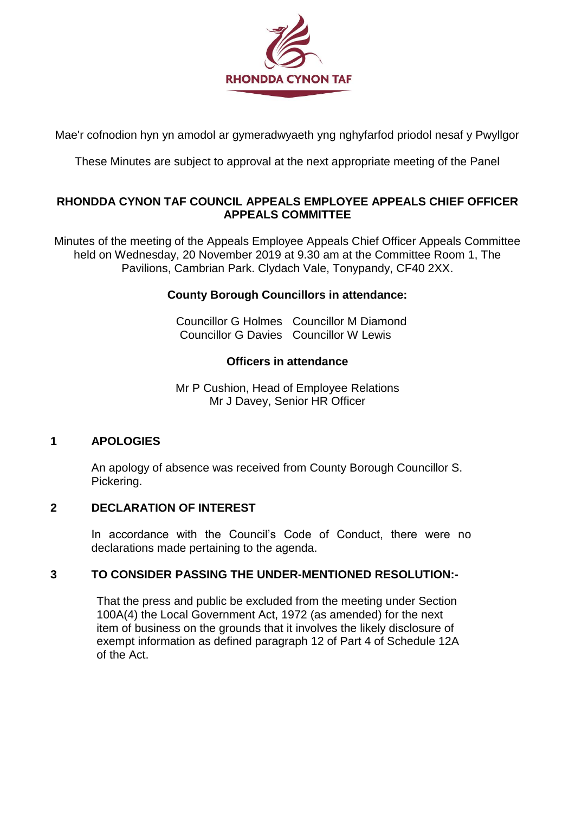

Mae'r cofnodion hyn yn amodol ar gymeradwyaeth yng nghyfarfod priodol nesaf y Pwyllgor

These Minutes are subject to approval at the next appropriate meeting of the Panel

### **RHONDDA CYNON TAF COUNCIL APPEALS EMPLOYEE APPEALS CHIEF OFFICER APPEALS COMMITTEE**

Minutes of the meeting of the Appeals Employee Appeals Chief Officer Appeals Committee held on Wednesday, 20 November 2019 at 9.30 am at the Committee Room 1, The Pavilions, Cambrian Park. Clydach Vale, Tonypandy, CF40 2XX.

# **County Borough Councillors in attendance:**

Councillor G Holmes Councillor M Diamond Councillor G Davies Councillor W Lewis

#### **Officers in attendance**

Mr P Cushion, Head of Employee Relations Mr J Davey, Senior HR Officer

#### **1 APOLOGIES**

An apology of absence was received from County Borough Councillor S. Pickering.

#### **2 DECLARATION OF INTEREST**

In accordance with the Council's Code of Conduct, there were no declarations made pertaining to the agenda.

#### **3 TO CONSIDER PASSING THE UNDER-MENTIONED RESOLUTION:-**

That the press and public be excluded from the meeting under Section 100A(4) the Local Government Act, 1972 (as amended) for the next item of business on the grounds that it involves the likely disclosure of exempt information as defined paragraph 12 of Part 4 of Schedule 12A of the Act.